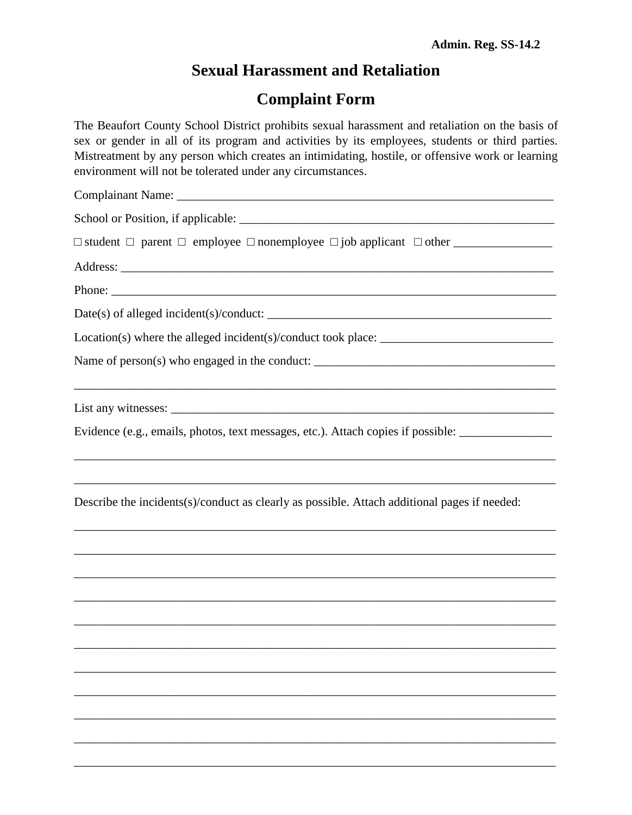## **Sexual Harassment and Retaliation**

## **Complaint Form**

The Beaufort County School District prohibits sexual harassment and retaliation on the basis of sex or gender in all of its program and activities by its employees, students or third parties. Mistreatment by any person which creates an intimidating, hostile, or offensive work or learning environment will not be tolerated under any circumstances.

| $\Box$ student $\Box$ parent $\Box$ employee $\Box$ nonemployee $\Box$ job applicant $\Box$ other                                                                                                                                    |
|--------------------------------------------------------------------------------------------------------------------------------------------------------------------------------------------------------------------------------------|
| Address: <u>the contract of the contract of the contract of the contract of the contract of the contract of the contract of the contract of the contract of the contract of the contract of the contract of the contract of the </u> |
|                                                                                                                                                                                                                                      |
|                                                                                                                                                                                                                                      |
|                                                                                                                                                                                                                                      |
|                                                                                                                                                                                                                                      |
|                                                                                                                                                                                                                                      |
| Evidence (e.g., emails, photos, text messages, etc.). Attach copies if possible: __________________                                                                                                                                  |
| Describe the incidents(s)/conduct as clearly as possible. Attach additional pages if needed:                                                                                                                                         |
|                                                                                                                                                                                                                                      |
|                                                                                                                                                                                                                                      |
|                                                                                                                                                                                                                                      |
|                                                                                                                                                                                                                                      |
|                                                                                                                                                                                                                                      |
|                                                                                                                                                                                                                                      |
|                                                                                                                                                                                                                                      |
|                                                                                                                                                                                                                                      |

\_\_\_\_\_\_\_\_\_\_\_\_\_\_\_\_\_\_\_\_\_\_\_\_\_\_\_\_\_\_\_\_\_\_\_\_\_\_\_\_\_\_\_\_\_\_\_\_\_\_\_\_\_\_\_\_\_\_\_\_\_\_\_\_\_\_\_\_\_\_\_\_\_\_\_\_\_\_